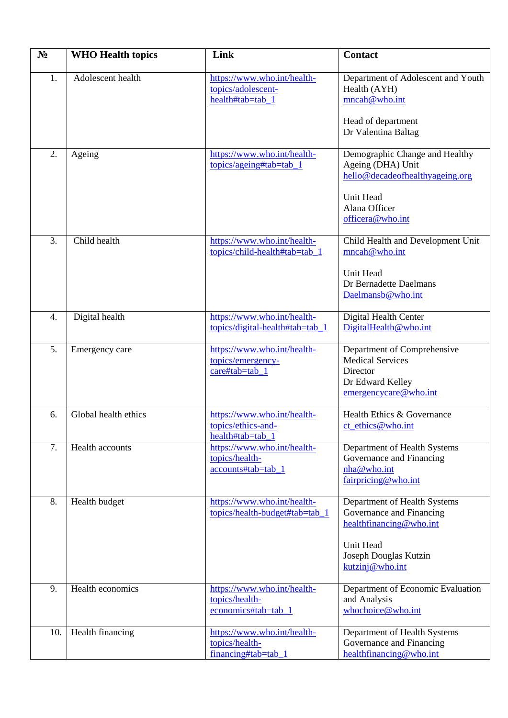| $N_2$ | <b>WHO Health topics</b> | Link                                                                  | <b>Contact</b>                                                                                                                               |
|-------|--------------------------|-----------------------------------------------------------------------|----------------------------------------------------------------------------------------------------------------------------------------------|
| 1.    | Adolescent health        | https://www.who.int/health-<br>topics/adolescent-<br>health#tab=tab_1 | Department of Adolescent and Youth<br>Health (AYH)<br>mncah@who.int<br>Head of department<br>Dr Valentina Baltag                             |
| 2.    | Ageing                   | https://www.who.int/health-<br>topics/ageing#tab=tab_1                | Demographic Change and Healthy<br>Ageing (DHA) Unit<br>hello@decadeofhealthyageing.org<br>Unit Head<br>Alana Officer<br>officera@who.int     |
| 3.    | Child health             | https://www.who.int/health-<br>topics/child-health#tab=tab_1          | Child Health and Development Unit<br>mncah@who.int<br>Unit Head<br>Dr Bernadette Daelmans<br>Daelmansb@who.int                               |
| 4.    | Digital health           | https://www.who.int/health-<br>topics/digital-health#tab=tab_1        | Digital Health Center<br>DigitalHealth@who.int                                                                                               |
| 5.    | Emergency care           | https://www.who.int/health-<br>topics/emergency-<br>care#tab=tab 1    | Department of Comprehensive<br><b>Medical Services</b><br>Director<br>Dr Edward Kelley<br>emergencycare@who.int                              |
| 6.    | Global health ethics     | https://www.who.int/health-<br>topics/ethics-and-<br>health#tab=tab 1 | Health Ethics & Governance<br>$ct$ ethics @ who.int                                                                                          |
| 7.    | Health accounts          | https://www.who.int/health-<br>topics/health-<br>accounts#tab=tab_1   | Department of Health Systems<br>Governance and Financing<br>nha@who.int<br>fairpricing@who.int                                               |
| 8.    | Health budget            | https://www.who.int/health-<br>topics/health-budget#tab=tab_1         | Department of Health Systems<br>Governance and Financing<br>healthfinancing@who.int<br>Unit Head<br>Joseph Douglas Kutzin<br>kutzinj@who.int |
| 9.    | Health economics         | https://www.who.int/health-<br>topics/health-<br>economics#tab=tab_1  | Department of Economic Evaluation<br>and Analysis<br>whochoice@who.int                                                                       |
| 10.   | Health financing         | https://www.who.int/health-<br>topics/health-<br>financing#tab=tab_1  | Department of Health Systems<br>Governance and Financing<br>healthfinancing@who.int                                                          |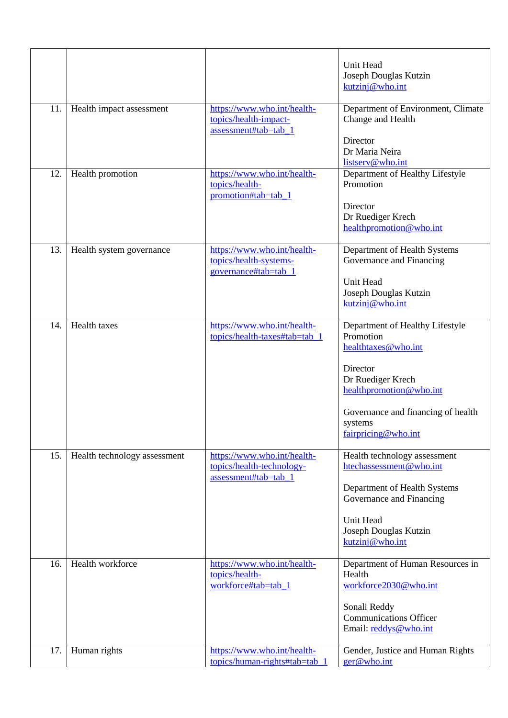|     |                              |                                                                                  | Unit Head<br>Joseph Douglas Kutzin<br>kutzinj@who.int                                                                                                                                                   |
|-----|------------------------------|----------------------------------------------------------------------------------|---------------------------------------------------------------------------------------------------------------------------------------------------------------------------------------------------------|
| 11. | Health impact assessment     | https://www.who.int/health-<br>topics/health-impact-<br>assessment#tab=tab_1     | Department of Environment, Climate<br>Change and Health<br>Director<br>Dr Maria Neira<br>listserv@who.int                                                                                               |
| 12. | Health promotion             | https://www.who.int/health-<br>topics/health-<br>promotion#tab=tab_1             | Department of Healthy Lifestyle<br>Promotion<br>Director<br>Dr Ruediger Krech<br>healthpromotion@who.int                                                                                                |
| 13. | Health system governance     | https://www.who.int/health-<br>topics/health-systems-<br>governance#tab=tab_1    | Department of Health Systems<br>Governance and Financing<br>Unit Head<br>Joseph Douglas Kutzin<br>kutzinj@who.int                                                                                       |
| 14. | Health taxes                 | https://www.who.int/health-<br>topics/health-taxes#tab=tab_1                     | Department of Healthy Lifestyle<br>Promotion<br>healthtaxes@who.int<br>Director<br>Dr Ruediger Krech<br>healthpromotion@who.int<br>Governance and financing of health<br>systems<br>fairpricing@who.int |
| 15. | Health technology assessment | https://www.who.int/health-<br>topics/health-technology-<br>assessment#tab=tab_1 | Health technology assessment<br>htechassessment@who.int<br>Department of Health Systems<br>Governance and Financing<br>Unit Head<br>Joseph Douglas Kutzin<br>kutzinj@who.int                            |
| 16. | Health workforce             | https://www.who.int/health-<br>topics/health-<br>workforce#tab=tab_1             | Department of Human Resources in<br>Health<br>workforce2030@who.int<br>Sonali Reddy<br><b>Communications Officer</b><br>Email: reddys@who.int                                                           |
| 17. | Human rights                 | https://www.who.int/health-<br>topics/human-rights#tab=tab 1                     | Gender, Justice and Human Rights<br>ger@who.int                                                                                                                                                         |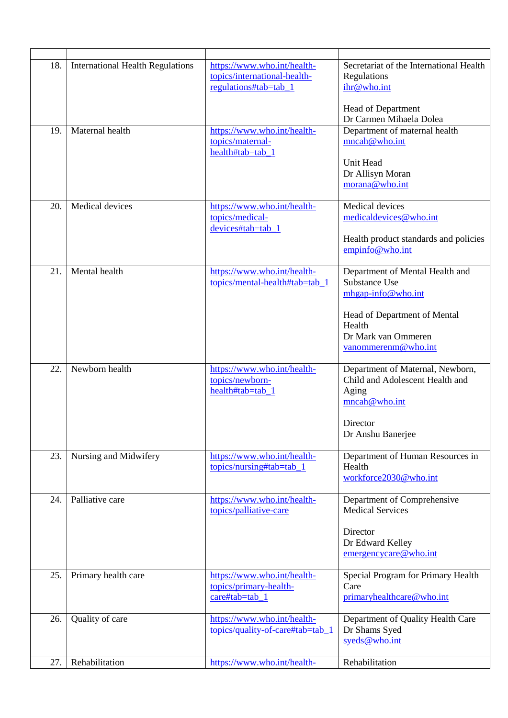| 18. | <b>International Health Regulations</b><br>Maternal health | https://www.who.int/health-<br>topics/international-health-<br>regulations#tab=tab_1 | Secretariat of the International Health<br>Regulations<br>ihr@who.int<br>Head of Department<br>Dr Carmen Mihaela Dolea                                         |
|-----|------------------------------------------------------------|--------------------------------------------------------------------------------------|----------------------------------------------------------------------------------------------------------------------------------------------------------------|
| 19. |                                                            | https://www.who.int/health-<br>topics/maternal-<br>health#tab=tab_1                  | Department of maternal health<br>mncah@who.int<br>Unit Head<br>Dr Allisyn Moran<br>morana@who.int                                                              |
| 20. | Medical devices                                            | https://www.who.int/health-<br>topics/medical-<br>devices#tab=tab 1                  | Medical devices<br>medicaldevices@who.int<br>Health product standards and policies<br>empinfo@who.int                                                          |
| 21. | Mental health                                              | https://www.who.int/health-<br>topics/mental-health#tab=tab_1                        | Department of Mental Health and<br>Substance Use<br>mhgap-info@who.int<br>Head of Department of Mental<br>Health<br>Dr Mark van Ommeren<br>vanommerenm@who.int |
| 22. | Newborn health                                             | https://www.who.int/health-<br>topics/newborn-<br>health#tab=tab 1                   | Department of Maternal, Newborn,<br>Child and Adolescent Health and<br>Aging<br>mncah@who.int<br>Director<br>Dr Anshu Banerjee                                 |
| 23. | Nursing and Midwifery                                      | https://www.who.int/health-<br>topics/nursing#tab=tab 1                              | Department of Human Resources in<br>Health<br>workforce2030@who.int                                                                                            |
| 24. | Palliative care                                            | https://www.who.int/health-<br>topics/palliative-care                                | Department of Comprehensive<br><b>Medical Services</b><br>Director<br>Dr Edward Kelley<br>emergencycare@who.int                                                |
| 25. | Primary health care                                        | https://www.who.int/health-<br>topics/primary-health-<br>care#tab=tab_1              | Special Program for Primary Health<br>Care<br>primaryhealthcare@who.int                                                                                        |
| 26. | Quality of care                                            | https://www.who.int/health-<br>topics/quality-of-care#tab=tab_1                      | Department of Quality Health Care<br>Dr Shams Syed<br>syeds@who.int                                                                                            |
| 27. | Rehabilitation                                             | https://www.who.int/health-                                                          | Rehabilitation                                                                                                                                                 |